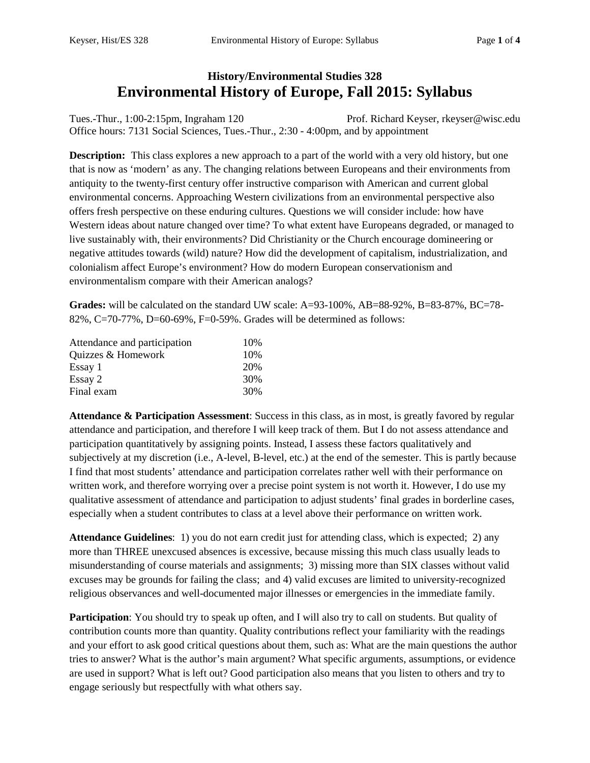# **History/Environmental Studies 328 Environmental History of Europe, Fall 2015: Syllabus**

Tues.-Thur., 1:00-2:15pm, Ingraham 120 Prof. Richard Keyser, rkeyser@wisc.edu Office hours: 7131 Social Sciences, Tues.-Thur., 2:30 - 4:00pm, and by appointment

**Description:** This class explores a new approach to a part of the world with a very old history, but one that is now as 'modern' as any. The changing relations between Europeans and their environments from antiquity to the twenty-first century offer instructive comparison with American and current global environmental concerns. Approaching Western civilizations from an environmental perspective also offers fresh perspective on these enduring cultures. Questions we will consider include: how have Western ideas about nature changed over time? To what extent have Europeans degraded, or managed to live sustainably with, their environments? Did Christianity or the Church encourage domineering or negative attitudes towards (wild) nature? How did the development of capitalism, industrialization, and colonialism affect Europe's environment? How do modern European conservationism and environmentalism compare with their American analogs?

**Grades:** will be calculated on the standard UW scale: A=93-100%, AB=88-92%, B=83-87%, BC=78-82%, C=70-77%, D=60-69%, F=0-59%. Grades will be determined as follows:

| Attendance and participation | 10\% |
|------------------------------|------|
| Quizzes & Homework           | 10%  |
| Essay 1                      | 20%  |
| Essay 2                      | 30%  |
| Final exam                   | 30%  |

**Attendance & Participation Assessment**: Success in this class, as in most, is greatly favored by regular attendance and participation, and therefore I will keep track of them. But I do not assess attendance and participation quantitatively by assigning points. Instead, I assess these factors qualitatively and subjectively at my discretion (i.e., A-level, B-level, etc.) at the end of the semester. This is partly because I find that most students' attendance and participation correlates rather well with their performance on written work, and therefore worrying over a precise point system is not worth it. However, I do use my qualitative assessment of attendance and participation to adjust students' final grades in borderline cases, especially when a student contributes to class at a level above their performance on written work.

**Attendance Guidelines**: 1) you do not earn credit just for attending class, which is expected; 2) any more than THREE unexcused absences is excessive, because missing this much class usually leads to misunderstanding of course materials and assignments; 3) missing more than SIX classes without valid excuses may be grounds for failing the class; and 4) valid excuses are limited to university-recognized religious observances and well-documented major illnesses or emergencies in the immediate family.

**Participation**: You should try to speak up often, and I will also try to call on students. But quality of contribution counts more than quantity. Quality contributions reflect your familiarity with the readings and your effort to ask good critical questions about them, such as: What are the main questions the author tries to answer? What is the author's main argument? What specific arguments, assumptions, or evidence are used in support? What is left out? Good participation also means that you listen to others and try to engage seriously but respectfully with what others say.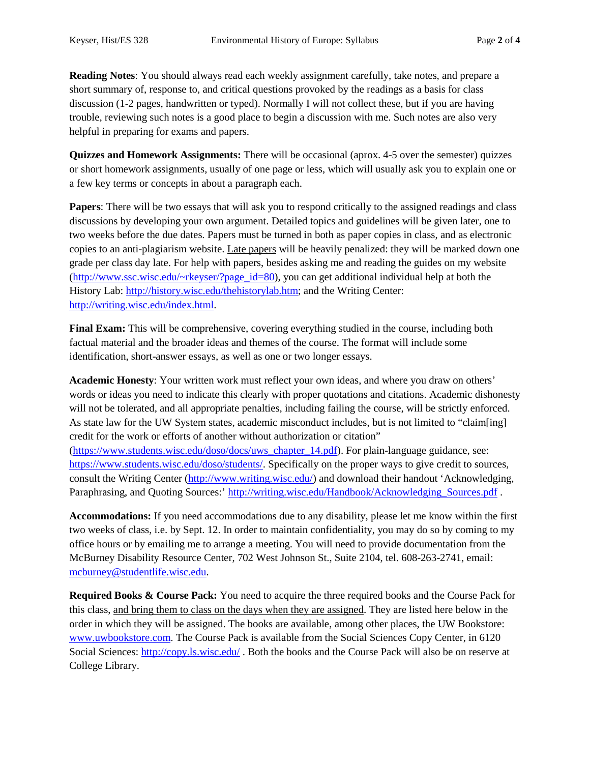**Reading Notes**: You should always read each weekly assignment carefully, take notes, and prepare a short summary of, response to, and critical questions provoked by the readings as a basis for class discussion (1-2 pages, handwritten or typed). Normally I will not collect these, but if you are having trouble, reviewing such notes is a good place to begin a discussion with me. Such notes are also very helpful in preparing for exams and papers.

**Quizzes and Homework Assignments:** There will be occasional (aprox. 4-5 over the semester) quizzes or short homework assignments, usually of one page or less, which will usually ask you to explain one or a few key terms or concepts in about a paragraph each.

**Papers**: There will be two essays that will ask you to respond critically to the assigned readings and class discussions by developing your own argument. Detailed topics and guidelines will be given later, one to two weeks before the due dates. Papers must be turned in both as paper copies in class, and as electronic copies to an anti-plagiarism website. Late papers will be heavily penalized: they will be marked down one grade per class day late. For help with papers, besides asking me and reading the guides on my website [\(http://www.ssc.wisc.edu/~rkeyser/?page\\_id=80\)](http://www.ssc.wisc.edu/%7Erkeyser/?page_id=80), you can get additional individual help at both the History Lab: [http://history.wisc.edu/thehistorylab.htm;](http://history.wisc.edu/thehistorylab.htm) and the Writing Center: [http://writing.wisc.edu/index.html.](http://writing.wisc.edu/index.html)

Final Exam: This will be comprehensive, covering everything studied in the course, including both factual material and the broader ideas and themes of the course. The format will include some identification, short-answer essays, as well as one or two longer essays.

**Academic Honesty**: Your written work must reflect your own ideas, and where you draw on others' words or ideas you need to indicate this clearly with proper quotations and citations. Academic dishonesty will not be tolerated, and all appropriate penalties, including failing the course, will be strictly enforced. As state law for the UW System states, academic misconduct includes, but is not limited to "claim[ing] credit for the work or efforts of another without authorization or citation" [\(https://www.students.wisc.edu/doso/docs/uws\\_chapter\\_14.pdf\)](https://www.students.wisc.edu/doso/docs/uws_chapter_14.pdf). For plain-language guidance, see: [https://www.students.wisc.edu/doso/students/.](https://www.students.wisc.edu/doso/students/) Specifically on the proper ways to give credit to sources, consult the Writing Center [\(http://www.writing.wisc.edu/\)](http://www.writing.wisc.edu/) and download their handout 'Acknowledging, Paraphrasing, and Quoting Sources:' [http://writing.wisc.edu/Handbook/Acknowledging\\_Sources.pdf](http://writing.wisc.edu/Handbook/Acknowledging_Sources.pdf) .

**Accommodations:** If you need accommodations due to any disability, please let me know within the first two weeks of class, i.e. by Sept. 12. In order to maintain confidentiality, you may do so by coming to my office hours or by emailing me to arrange a meeting. You will need to provide documentation from the McBurney Disability Resource Center, 702 West Johnson St., Suite 2104, tel. 608-263-2741, email: [mcburney@studentlife.wisc.edu.](mailto:mcburney@studentlife.wisc.edu)

**Required Books & Course Pack:** You need to acquire the three required books and the Course Pack for this class, and bring them to class on the days when they are assigned. They are listed here below in the order in which they will be assigned. The books are available, among other places, the UW Bookstore: [www.uwbookstore.com.](http://www.uwbookstore.com/) The Course Pack is available from the Social Sciences Copy Center, in 6120 Social Sciences:<http://copy.ls.wisc.edu/>. Both the books and the Course Pack will also be on reserve at College Library.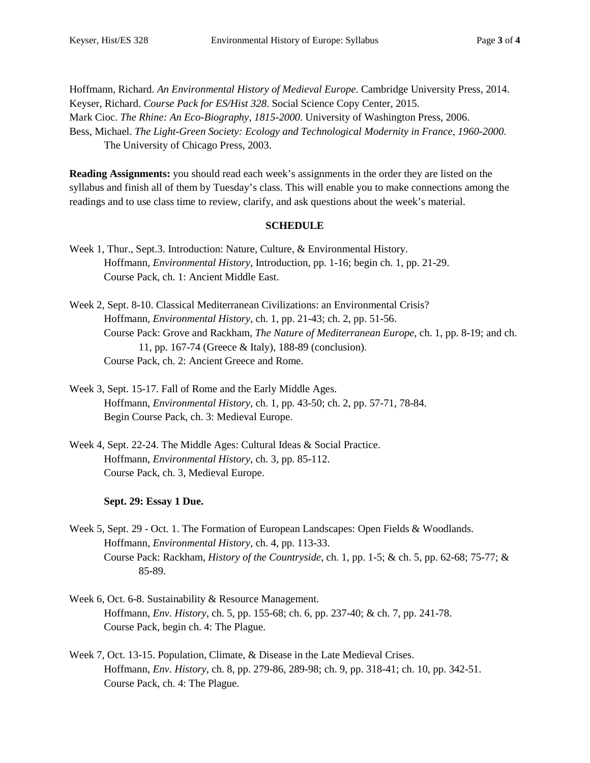Hoffmann, Richard. *An Environmental History of Medieval Europe*. Cambridge University Press, 2014. Keyser, Richard. *Course Pack for ES/Hist 328*. Social Science Copy Center, 2015. Mark Cioc. *The Rhine: An Eco-Biography, 1815-2000*. University of Washington Press, 2006. Bess, Michael. *The Light-Green Society: Ecology and Technological Modernity in France, 1960-2000*. The University of Chicago Press, 2003.

**Reading Assignments:** you should read each week's assignments in the order they are listed on the syllabus and finish all of them by Tuesday's class. This will enable you to make connections among the readings and to use class time to review, clarify, and ask questions about the week's material.

### **SCHEDULE**

- Week 1, Thur., Sept.3. Introduction: Nature, Culture, & Environmental History. Hoffmann, *Environmental History*, Introduction, pp. 1-16; begin ch. 1, pp. 21-29. Course Pack, ch. 1: Ancient Middle East.
- Week 2, Sept. 8-10. Classical Mediterranean Civilizations: an Environmental Crisis? Hoffmann, *Environmental History*, ch. 1, pp. 21-43; ch. 2, pp. 51-56. Course Pack: Grove and Rackham, *The Nature of Mediterranean Europe*, ch. 1, pp. 8-19; and ch. 11, pp. 167-74 (Greece & Italy), 188-89 (conclusion). Course Pack, ch. 2: Ancient Greece and Rome.
- Week 3, Sept. 15-17. Fall of Rome and the Early Middle Ages. Hoffmann, *Environmental History*, ch. 1, pp. 43-50; ch. 2, pp. 57-71, 78-84. Begin Course Pack, ch. 3: Medieval Europe.
- Week 4, Sept. 22-24. The Middle Ages: Cultural Ideas & Social Practice. Hoffmann, *Environmental History*, ch. 3, pp. 85-112. Course Pack, ch. 3, Medieval Europe.

## **Sept. 29: Essay 1 Due.**

Week 5, Sept. 29 - Oct. 1. The Formation of European Landscapes: Open Fields & Woodlands. Hoffmann, *Environmental History*, ch. 4, pp. 113-33. Course Pack: Rackham, *History of the Countryside*, ch. 1, pp. 1-5; & ch. 5, pp. 62-68; 75-77; & 85-89.

- Week 6, Oct. 6-8. Sustainability & Resource Management. Hoffmann, *Env. History*, ch. 5, pp. 155-68; ch. 6, pp. 237-40; & ch. 7, pp. 241-78. Course Pack, begin ch. 4: The Plague.
- Week 7, Oct. 13-15. Population, Climate, & Disease in the Late Medieval Crises. Hoffmann, *Env. History*, ch. 8, pp. 279-86, 289-98; ch. 9, pp. 318-41; ch. 10, pp. 342-51. Course Pack, ch. 4: The Plague.